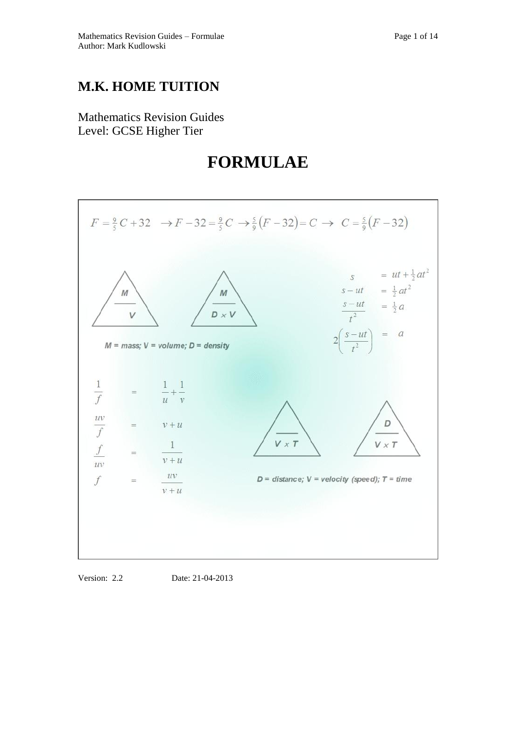# **M.K. HOME TUITION**

Mathematics Revision Guides Level: GCSE Higher Tier

# **FORMULAE**



Version: 2.2 Date: 21-04-2013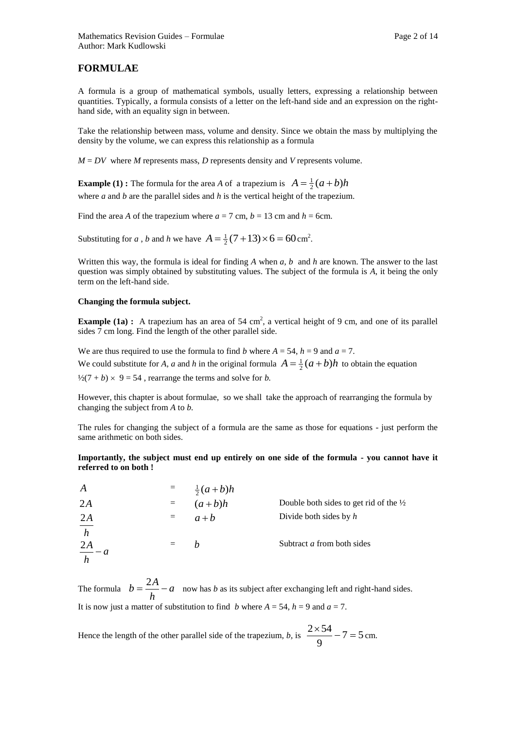A formula is a group of mathematical symbols, usually letters, expressing a relationship between quantities. Typically, a formula consists of a letter on the left-hand side and an expression on the righthand side, with an equality sign in between.

Take the relationship between mass, volume and density. Since we obtain the mass by multiplying the density by the volume, we can express this relationship as a formula

 $M = DV$  where *M* represents mass, *D* represents density and *V* represents volume.

**Example (1) :** The formula for the area *A* of a trapezium is  $A = \frac{1}{2}(a+b)h$ where *a* and *b* are the parallel sides and *h* is the vertical height of the trapezium.

Find the area *A* of the trapezium where  $a = 7$  cm,  $b = 13$  cm and  $h = 6$ cm.

Substituting for *a*, *b* and *h* we have  $A = \frac{1}{2}(7 + 13) \times 6 = 60 \text{ cm}^2$ .

Written this way, the formula is ideal for finding *A* when *a, b* and *h* are known. The answer to the last question was simply obtained by substituting values. The subject of the formula is *A*, it being the only term on the left-hand side.

# **Changing the formula subject.**

**Example (1a)**: A trapezium has an area of 54 cm<sup>2</sup>, a vertical height of 9 cm, and one of its parallel sides 7 cm long. Find the length of the other parallel side.

We are thus required to use the formula to find *b* where  $A = 54$ ,  $h = 9$  and  $a = 7$ . We could substitute for *A*, *a* and *h* in the original formula  $A = \frac{1}{2}(a+b)h$  to obtain the equation  $\frac{1}{2}(7 + b) \times 9 = 54$ , rearrange the terms and solve for *b*.

However, this chapter is about formulae, so we shall take the approach of rearranging the formula by changing the subject from *A* to *b.*

The rules for changing the subject of a formula are the same as those for equations - just perform the same arithmetic on both sides.

**Importantly, the subject must end up entirely on one side of the formula - you cannot have it referred to on both !**

| $\boldsymbol{A}$   |                | $\frac{1}{2}(a+b)h$ |                                                   |
|--------------------|----------------|---------------------|---------------------------------------------------|
| 2A                 |                | $(a+b)h$            | Double both sides to get rid of the $\frac{1}{2}$ |
| 2A                 | $=$ $-$        | $a+b$               | Divide both sides by $h$                          |
| $\frac{1}{h}$      |                |                     |                                                   |
| $\frac{2A}{h} - a$ | $\alpha = 1$ . | h                   | Subtract <i>a</i> from both sides                 |
|                    |                |                     |                                                   |

The formula  $b = \frac{271}{1} - a$ *h*  $b = \frac{2A}{A} - a$  now has *b* as its subject after exchanging left and right-hand sides. It is now just a matter of substitution to find *b* where  $A = 54$ ,  $h = 9$  and  $a = 7$ .

Hence the length of the other parallel side of the trapezium, *b*, is  $\frac{2 \times 34}{8} - 7 = 5$ 9  $\frac{2 \times 54}{2} - 7 = 5$  cm.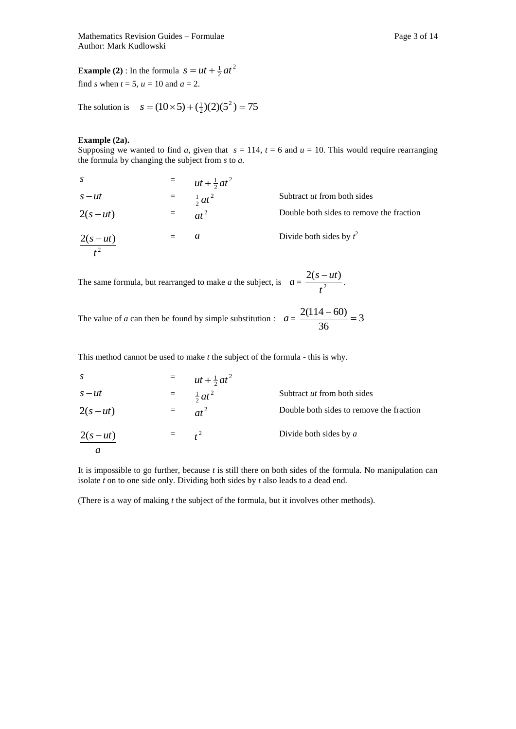Mathematics Revision Guides – Formulae Page 3 of 14 Author: Mark Kudlowski

**Example (2)** : In the formula  $s = ut + \frac{1}{2}at^2$  $s = ut + \frac{1}{2}at$ find *s* when  $t = 5$ ,  $u = 10$  and  $a = 2$ .

The solution is  $s = (10 \times 5) + (\frac{1}{2})(2)(5^2) = 75$ 

#### **Example (2a).**

Supposing we wanted to find *a*, given that  $s = 114$ ,  $t = 6$  and  $u = 10$ . This would require rearranging the formula by changing the subject from *s* to *a.*

| S                   | $=$ $-$ | $ut + \frac{1}{2}at^2$ |                                          |
|---------------------|---------|------------------------|------------------------------------------|
| $s - ut$            | $=$     | $\frac{1}{2}at^2$      | Subtract <i>ut</i> from both sides       |
| $2(s-ut)$           | $=$     | $at^2$                 | Double both sides to remove the fraction |
| $\frac{2(s-ut)}{s}$ | $=$     | a                      | Divide both sides by $t^2$               |

The same formula, but rearranged to make *a* the subject, is  $a = \frac{2\sqrt{3}}{12}$  $2(s - ut)$ *t*  $\frac{s - ut}{2}$ .

The value of *a* can then be found by simple substitution :  $a = \frac{2(114-00)}{24} = 3$ 36  $\frac{2(114-60)}{2}$ 

This method cannot be used to make *t* the subject of the formula - this is why.

| $\mathcal{S}$ |           | $=$ $ut + \frac{1}{2}at^2$ |                                          |
|---------------|-----------|----------------------------|------------------------------------------|
| $s - ut$      | $=$       | $\frac{1}{2}at^2$          | Subtract <i>ut</i> from both sides       |
| $2(s-ut)$     | $=$       | $at^2$                     | Double both sides to remove the fraction |
| $2(s-ut)$     | $=$ $t^2$ |                            | Divide both sides by $a$                 |
| а             |           |                            |                                          |

It is impossible to go further, because *t* is still there on both sides of the formula. No manipulation can isolate *t* on to one side only. Dividing both sides by *t* also leads to a dead end.

(There is a way of making *t* the subject of the formula, but it involves other methods).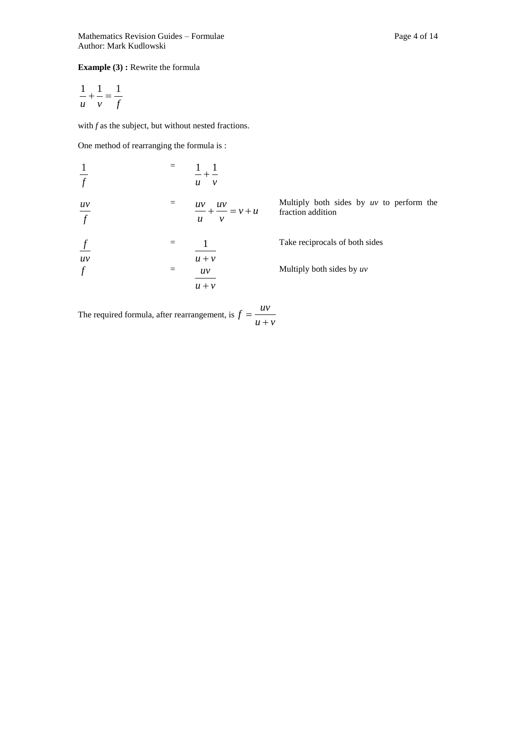# **Example (3) :** Rewrite the formula

$$
\frac{1}{u} + \frac{1}{v} = \frac{1}{f}
$$

with *f* as the subject, but without nested fractions.

One method of rearranging the formula is :

| $\frac{1}{f}$  |     | $- + -$<br>$\boldsymbol{u}$<br>$\mathcal V$                    |                                                                 |
|----------------|-----|----------------------------------------------------------------|-----------------------------------------------------------------|
| $rac{uv}{f}$   |     | $\frac{uv}{v} + \frac{uv}{w} = v + u$<br>$\boldsymbol{u}$<br>ν | Multiply both sides by $uv$ to perform the<br>fraction addition |
| $\overline{f}$ |     |                                                                | Take reciprocals of both sides                                  |
| uv<br>$\int$   | $=$ | $u + v$<br>uv<br>$u + v$                                       | Multiply both sides by $uv$                                     |

The required formula, after rearrangement, is  $f = \frac{dv}{u+v}$  $f = \frac{uv}{u}$  $^{+}$  $=$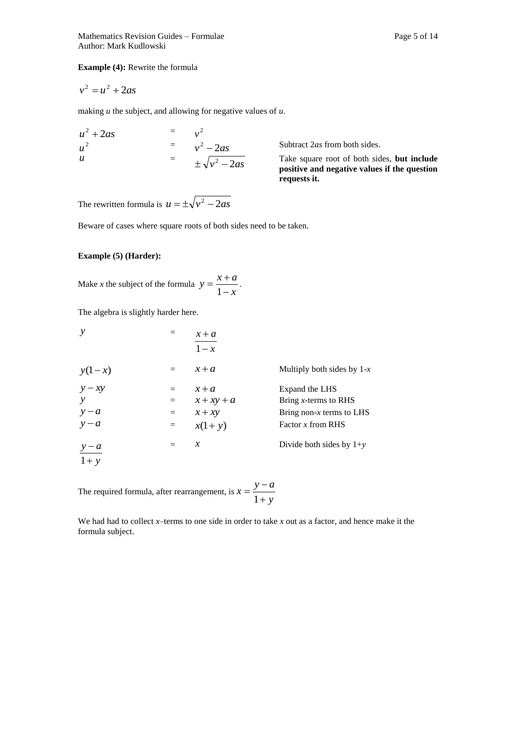**Example (4):** Rewrite the formula

$$
v^2 = u^2 + 2as
$$

making *u* the subject, and allowing for negative values of *u*.

$$
u2 + 2as = v2
$$
  
\n
$$
u2 = v2 - 2as
$$
  
\n
$$
u = \pm \sqrt{v2 - 2as}
$$

Subtract 2*as* from both sides.

Take square root of both sides, **but include positive and negative values if the question requests it.**

The rewritten formula is  $u = \pm \sqrt{v^2 - 2as}$ 

Beware of cases where square roots of both sides need to be taken.

# **Example (5) (Harder):**

Make *x* the subject of the formula  $y = \frac{x^2 + 3x^2}{1 - x^2}$  $y = \frac{x+a}{x}$  $\overline{a}$  $=\frac{x+}{1}$  $\frac{1}{1-x}$ .

The algebra is slightly harder here.

| $\mathcal{Y}$     |     | $x + a$<br>$1-x$ |                              |
|-------------------|-----|------------------|------------------------------|
| $y(1-x)$          |     | $x + a$          | Multiply both sides by $1-x$ |
| $y - xy$          | $=$ | $x + a$          | Expand the LHS               |
|                   | $=$ | $x + xy + a$     | Bring $x$ -terms to RHS      |
|                   | $=$ | $x + xy$         | Bring non- $x$ terms to LHS  |
| $y-a$<br>$y-a$    | $=$ | $x(1+y)$         | Factor $x$ from RHS          |
|                   | $=$ | $\chi$           | Divide both sides by $1+y$   |
| $\frac{y-a}{1+y}$ |     |                  |                              |

The required formula, after rearrangement, is  $x = \frac{y}{1+y}$  $x = \frac{y - a}{a}$  $\ddot{}$  $=\frac{y-}{y}$ 1

We had had to collect *x–*terms to one side in order to take *x* out as a factor, and hence make it the formula subject.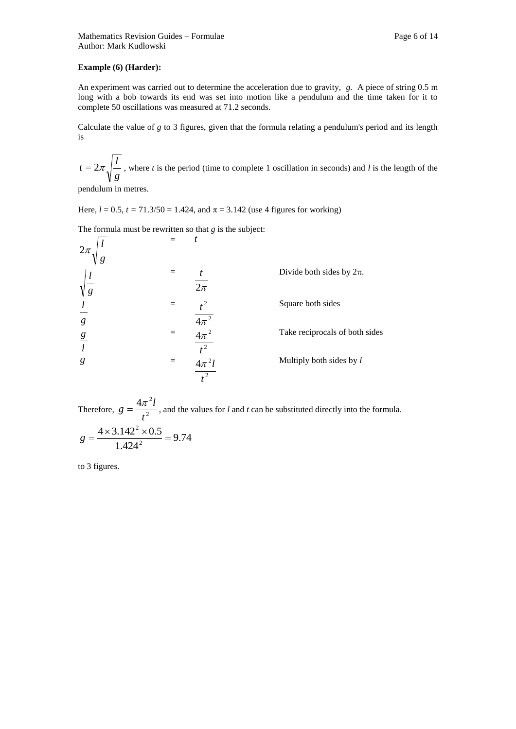## **Example (6) (Harder):**

An experiment was carried out to determine the acceleration due to gravity, *g.* A piece of string 0.5 m long with a bob towards its end was set into motion like a pendulum and the time taken for it to complete 50 oscillations was measured at 71.2 seconds.

Calculate the value of *g* to 3 figures, given that the formula relating a pendulum's period and its length is

*g*  $t = 2\pi \sqrt{\frac{l}{n}}$ , where *t* is the period (time to complete 1 oscillation in seconds) and *l* is the length of the

pendulum in metres.

Here,  $l = 0.5$ ,  $t = 71.3/50 = 1.424$ , and  $\pi = 3.142$  (use 4 figures for working)

The formula must be rewritten so that *g* is the subject:

| $2\pi$<br>g     |                                             |                                |
|-----------------|---------------------------------------------|--------------------------------|
| $\sqrt{g}$      | t<br>$\overline{2\pi}$                      | Divide both sides by $2\pi$ .  |
| g               |                                             | Square both sides              |
| $\underline{g}$ | $\frac{4\pi^2}{4\pi^2}$<br>$\overline{t^2}$ | Take reciprocals of both sides |
| g               | $4\pi^2 l$<br>$\overline{t^2}$              | Multiply both sides by l       |

Therefore,  $g = \frac{m}{l^2}$  $4\pi^2$ *t*  $g = \frac{4\pi^2 l}{r^2}$ , and the values for *l* and *t* can be substituted directly into the formula. 9.74 1.424  $4 \times 3.142^2 \times 0.5$ 2 2  $g = \frac{4 \times 3.142^2 \times 0.5}{4 \times 0.23}$ 

to 3 figures.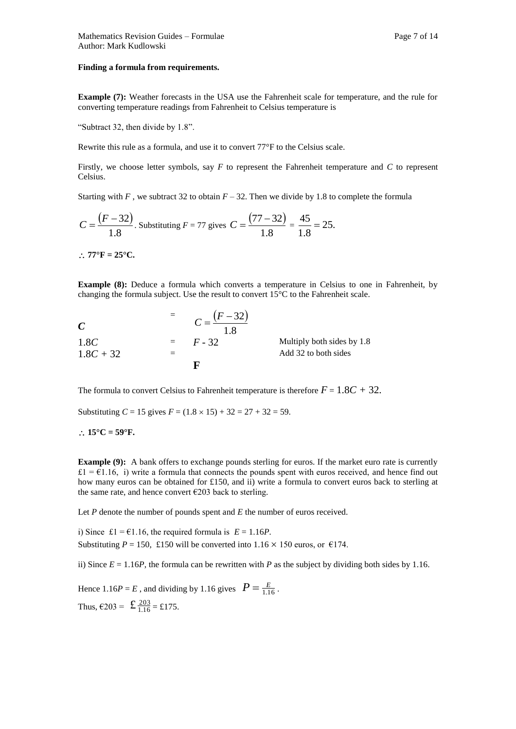#### **Finding a formula from requirements.**

**Example (7):** Weather forecasts in the USA use the Fahrenheit scale for temperature, and the rule for converting temperature readings from Fahrenheit to Celsius temperature is

"Subtract 32, then divide by 1.8".

Rewrite this rule as a formula, and use it to convert 77°F to the Celsius scale.

Firstly, we choose letter symbols, say *F* to represent the Fahrenheit temperature and *C* to represent Celsius.

Starting with  $F$ , we subtract 32 to obtain  $F - 32$ . Then we divide by 1.8 to complete the formula

$$
C = \frac{(F-32)}{1.8}
$$
. Substituting  $F = 77$  gives  $C = \frac{(77-32)}{1.8} = \frac{45}{1.8} = 25$ .

 $77^{\circ}$ F = 25 $^{\circ}$ C.

**Example (8):** Deduce a formula which converts a temperature in Celsius to one in Fahrenheit, by changing the formula subject. Use the result to convert 15°C to the Fahrenheit scale.

| $\mathcal{C}_{0}^{(n)}$ | $C - \frac{(F - 32)}{2}$ |                            |
|-------------------------|--------------------------|----------------------------|
| 1.8C                    | $=$ $F - 32$             | Multiply both sides by 1.8 |
| $1.8C + 32$             |                          | Add 32 to both sides       |
|                         | F                        |                            |

The formula to convert Celsius to Fahrenheit temperature is therefore  $F = 1.8C + 32$ .

Substituting  $C = 15$  gives  $F = (1.8 \times 15) + 32 = 27 + 32 = 59$ .

 $\therefore$  15°C = 59°F.

**Example (9):** A bank offers to exchange pounds sterling for euros. If the market euro rate is currently  $£1 = £1.16$ , i) write a formula that connects the pounds spent with euros received, and hence find out how many euros can be obtained for £150, and ii) write a formula to convert euros back to sterling at the same rate, and hence convert  $\epsilon$ 203 back to sterling.

Let *P* denote the number of pounds spent and *E* the number of euros received.

i) Since £1 =  $\epsilon$ 1.16, the required formula is  $E = 1.16P$ . Substituting  $P = 150$ , £150 will be converted into  $1.16 \times 150$  euros, or €174.

ii) Since  $E = 1.16P$ , the formula can be rewritten with *P* as the subject by dividing both sides by 1.16.

Hence 1.16*P* = *E*, and dividing by 1.16 gives  $P = \frac{E}{1.16}$ . Thus,  $\epsilon$ 203 =  $\text{£} \frac{203}{1.16} = \text{£}175$ .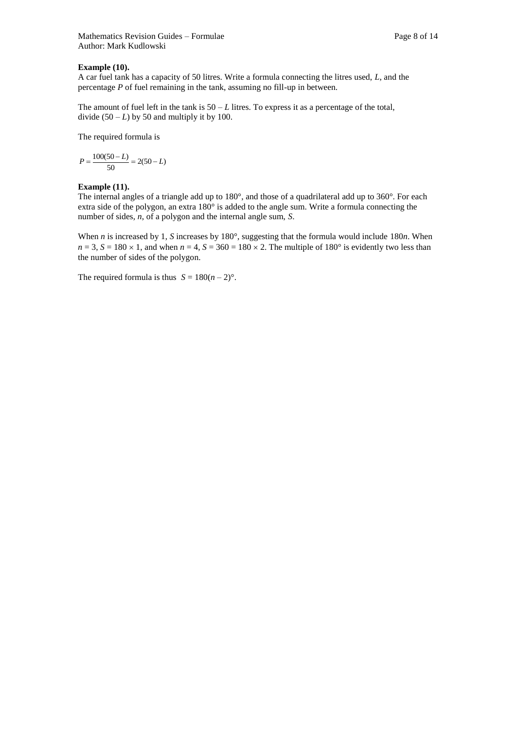# **Example (10).**

A car fuel tank has a capacity of 50 litres. Write a formula connecting the litres used, *L*, and the percentage *P* of fuel remaining in the tank, assuming no fill-up in between.

The amount of fuel left in the tank is  $50 - L$  litres. To express it as a percentage of the total, divide  $(50 - L)$  by 50 and multiply it by 100.

The required formula is

$$
P = \frac{100(50 - L)}{50} = 2(50 - L)
$$

#### **Example (11).**

The internal angles of a triangle add up to 180°, and those of a quadrilateral add up to 360°. For each extra side of the polygon, an extra 180° is added to the angle sum. Write a formula connecting the number of sides, *n*, of a polygon and the internal angle sum, *S*.

When *n* is increased by 1, *S* increases by 180°, suggesting that the formula would include 180*n*. When  $n = 3$ ,  $S = 180 \times 1$ , and when  $n = 4$ ,  $S = 360 = 180 \times 2$ . The multiple of 180° is evidently two less than the number of sides of the polygon.

The required formula is thus  $S = 180(n-2)$ °.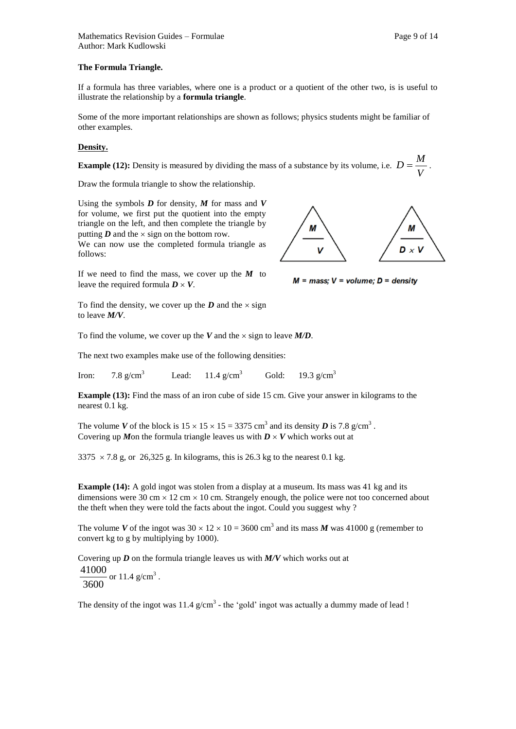#### **The Formula Triangle.**

If a formula has three variables, where one is a product or a quotient of the other two, is is useful to illustrate the relationship by a **formula triangle**.

Some of the more important relationships are shown as follows; physics students might be familiar of other examples.

#### **Density.**

**Example (12):** Density is measured by dividing the mass of a substance by its volume, i.e.  $D = \frac{M}{V}$  $D = \frac{M}{I}$ .

Draw the formula triangle to show the relationship.

Using the symbols  $D$  for density,  $M$  for mass and  $V$ for volume, we first put the quotient into the empty triangle on the left, and then complete the triangle by putting  $\boldsymbol{D}$  and the  $\times$  sign on the bottom row.

We can now use the completed formula triangle as follows:

If we need to find the mass, we cover up the *M* to leave the required formula  $D \times V$ .

M М V  $D \times V$ 

 $M = mass$ ;  $V = volume$ ;  $D = density$ 

To find the density, we cover up the  $D$  and the  $\times$  sign to leave *M/V*.

To find the volume, we cover up the *V* and the  $\times$  sign to leave *M/D*.

The next two examples make use of the following densities:

Iron:  $7.8 \text{ g/cm}^3$  Lead:  $11.4 \text{ g/cm}^3$  Gold:  $19.3 \text{ g/cm}^3$ 

**Example (13):** Find the mass of an iron cube of side 15 cm. Give your answer in kilograms to the nearest 0.1 kg.

The volume *V* of the block is  $15 \times 15 \times 15 = 3375 \text{ cm}^3$  and its density *D* is 7.8 g/cm<sup>3</sup>. Covering up *M*on the formula triangle leaves us with  $D \times V$  which works out at

 $3375 \times 7.8$  g, or 26,325 g. In kilograms, this is 26.3 kg to the nearest 0.1 kg.

**Example (14):** A gold ingot was stolen from a display at a museum. Its mass was 41 kg and its dimensions were 30 cm  $\times$  12 cm  $\times$  10 cm. Strangely enough, the police were not too concerned about the theft when they were told the facts about the ingot. Could you suggest why ?

The volume *V* of the ingot was  $30 \times 12 \times 10 = 3600 \text{ cm}^3$  and its mass *M* was 41000 g (remember to convert kg to g by multiplying by 1000).

Covering up *D* on the formula triangle leaves us with *M/V* which works out at 3600  $\frac{41000}{2}$  or 11.4 g/cm<sup>3</sup>.

The density of the ingot was  $11.4$  g/cm<sup>3</sup> - the 'gold' ingot was actually a dummy made of lead !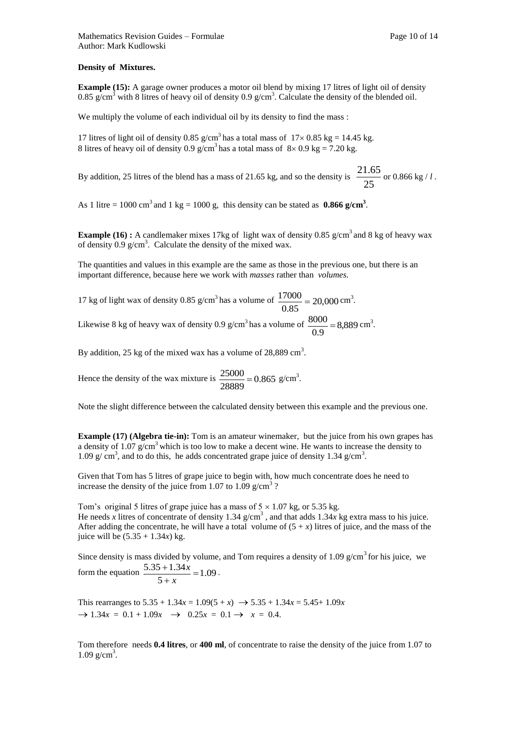**Example (15):** A garage owner produces a motor oil blend by mixing 17 litres of light oil of density 0.85 g/cm<sup>3</sup> with 8 litres of heavy oil of density 0.9 g/cm<sup>3</sup>. Calculate the density of the blended oil.

We multiply the volume of each individual oil by its density to find the mass :

17 litres of light oil of density 0.85 g/cm<sup>3</sup> has a total mass of  $17 \times 0.85$  kg = 14.45 kg. 8 litres of heavy oil of density 0.9 g/cm<sup>3</sup> has a total mass of  $8 \times 0.9$  kg = 7.20 kg.

By addition, 25 litres of the blend has a mass of 21.65 kg, and so the density is  $\frac{256}{25}$  $\frac{21.65}{\cdot}$  or 0.866 kg / *l* .

As 1 litre =  $1000 \text{ cm}^3$  and 1 kg =  $1000 \text{ g}$ , this density can be stated as  $0.866 \text{ g/cm}^3$ .

**Example (16)**: A candlemaker mixes 17kg of light wax of density 0.85  $g/cm<sup>3</sup>$  and 8 kg of heavy wax of density  $0.9 \text{ g/cm}^3$ . Calculate the density of the mixed wax.

The quantities and values in this example are the same as those in the previous one, but there is an important difference, because here we work with *masses* rather than *volumes.*

17 kg of light wax of density 0.85 g/cm<sup>3</sup> has a volume of  $\frac{1/000}{0.000} = 20,000$ 0.85  $\frac{17000}{2.000} = 20,000 \text{ cm}^3.$ 

Likewise 8 kg of heavy wax of density 0.9 g/cm<sup>3</sup> has a volume of  $\frac{8000}{0.8}$  = 8,889 0.9  $\frac{8000}{2.00} = 8,889 \text{ cm}^3.$ 

By addition, 25 kg of the mixed wax has a volume of  $28,889 \text{ cm}^3$ .

Hence the density of the wax mixture is  $\frac{25000}{20000} = 0.865$ 28889  $\frac{25000}{20000} = 0.865$  g/cm<sup>3</sup>.

Note the slight difference between the calculated density between this example and the previous one.

**Example (17) (Algebra tie-in):** Tom is an amateur winemaker, but the juice from his own grapes has a density of 1.07  $g/cm<sup>3</sup>$  which is too low to make a decent wine. He wants to increase the density to 1.09  $g/cm<sup>3</sup>$ , and to do this, he adds concentrated grape juice of density 1.34  $g/cm<sup>3</sup>$ .

Given that Tom has 5 litres of grape juice to begin with, how much concentrate does he need to increase the density of the juice from 1.07 to 1.09  $g/cm<sup>3</sup>$ ?

Tom's original 5 litres of grape juice has a mass of  $5 \times 1.07$  kg, or 5.35 kg. He needs *x* litres of concentrate of density 1.34  $g/cm<sup>3</sup>$ , and that adds 1.34*x* kg extra mass to his juice. After adding the concentrate, he will have a total volume of  $(5 + x)$  litres of juice, and the mass of the juice will be  $(5.35 + 1.34x)$  kg.

Since density is mass divided by volume, and Tom requires a density of 1.09  $g/cm<sup>3</sup>$  for his juice, we form the equation  $\frac{3.55 + 1.5 + x}{5} = 1.09$ 5  $\frac{5.35 + 1.34x}{1} =$  $\ddot{}$  $\ddot{}$ *x*  $\frac{x}{x} = 1.09$ .

This rearranges to  $5.35 + 1.34x = 1.09(5 + x) \rightarrow 5.35 + 1.34x = 5.45 + 1.09x$  $\rightarrow$  1.34*x* = 0.1 + 1.09*x*  $\rightarrow$  0.25*x* = 0.1  $\rightarrow$  *x* = 0.4.

Tom therefore needs **0.4 litres**, or **400 ml**, of concentrate to raise the density of the juice from 1.07 to  $1.09$  g/cm<sup>3</sup>.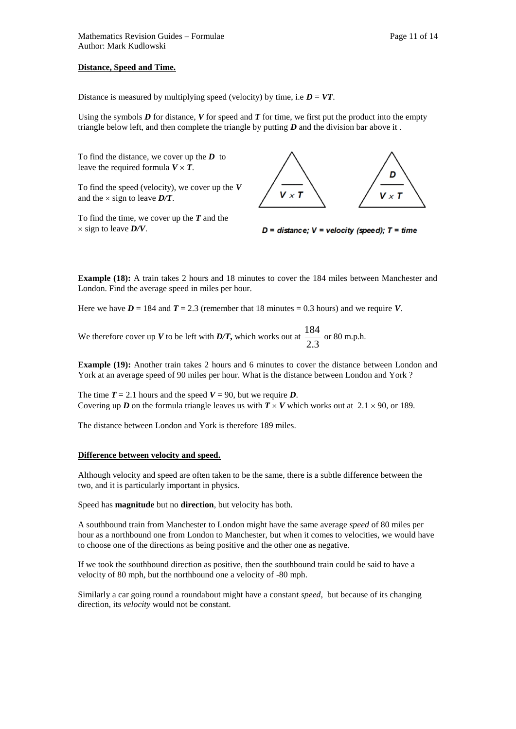Using the symbols  $D$  for distance,  $V$  for speed and  $T$  for time, we first put the product into the empty triangle below left, and then complete the triangle by putting *D* and the division bar above it .

To find the distance, we cover up the *D* to leave the required formula  $V \times T$ .

To find the speed (velocity), we cover up the *V*  and the  $\times$  sign to leave  $D/T$ .

To find the time, we cover up the *T* and the  $\times$  sign to leave  $D/V$ .



 $D =$  distance;  $V =$  velocity (speed);  $T =$  time

**Example (18):** A train takes 2 hours and 18 minutes to cover the 184 miles between Manchester and London. Find the average speed in miles per hour.

Here we have  $D = 184$  and  $T = 2.3$  (remember that 18 minutes = 0.3 hours) and we require *V*.

We therefore cover up *V* to be left with *D/T*, which works out at  $\frac{2.3}{2.3}$  $\frac{184}{22}$  or 80 m.p.h.

**Example (19):** Another train takes 2 hours and 6 minutes to cover the distance between London and York at an average speed of 90 miles per hour. What is the distance between London and York ?

The time  $T = 2.1$  hours and the speed  $V = 90$ , but we require *D*. Covering up *D* on the formula triangle leaves us with  $T \times V$  which works out at 2.1  $\times$  90, or 189.

The distance between London and York is therefore 189 miles.

#### **Difference between velocity and speed.**

Although velocity and speed are often taken to be the same, there is a subtle difference between the two, and it is particularly important in physics.

Speed has **magnitude** but no **direction**, but velocity has both.

A southbound train from Manchester to London might have the same average *speed* of 80 miles per hour as a northbound one from London to Manchester, but when it comes to velocities, we would have to choose one of the directions as being positive and the other one as negative.

If we took the southbound direction as positive, then the southbound train could be said to have a velocity of 80 mph, but the northbound one a velocity of -80 mph.

Similarly a car going round a roundabout might have a constant *speed*, but because of its changing direction, its *velocity* would not be constant.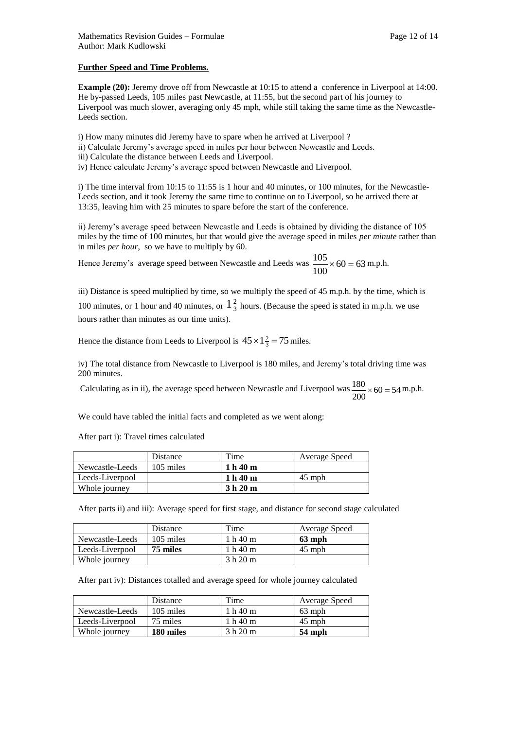# **Further Speed and Time Problems.**

**Example (20):** Jeremy drove off from Newcastle at 10:15 to attend a conference in Liverpool at 14:00. He by-passed Leeds, 105 miles past Newcastle, at 11:55, but the second part of his journey to Liverpool was much slower, averaging only 45 mph, while still taking the same time as the Newcastle-Leeds section.

i) How many minutes did Jeremy have to spare when he arrived at Liverpool ?

- ii) Calculate Jeremy's average speed in miles per hour between Newcastle and Leeds.
- iii) Calculate the distance between Leeds and Liverpool.
- iv) Hence calculate Jeremy's average speed between Newcastle and Liverpool.

i) The time interval from 10:15 to 11:55 is 1 hour and 40 minutes, or 100 minutes, for the Newcastle-Leeds section, and it took Jeremy the same time to continue on to Liverpool, so he arrived there at 13:35, leaving him with 25 minutes to spare before the start of the conference.

ii) Jeremy's average speed between Newcastle and Leeds is obtained by dividing the distance of 105 miles by the time of 100 minutes, but that would give the average speed in miles *per minute* rather than in miles *per hour*, so we have to multiply by 60.

Hence Jeremy's average speed between Newcastle and Leeds was  $\frac{100}{100} \times 60 = 63$ 100  $\frac{105}{100}$  × 60 = 63 m.p.h.

iii) Distance is speed multiplied by time, so we multiply the speed of 45 m.p.h. by the time, which is 100 minutes, or 1 hour and 40 minutes, or  $1\frac{2}{3}$  hours. (Because the speed is stated in m.p.h. we use

hours rather than minutes as our time units).

Hence the distance from Leeds to Liverpool is  $45 \times 1\frac{2}{3} = 75$  miles.

iv) The total distance from Newcastle to Liverpool is 180 miles, and Jeremy's total driving time was 200 minutes.

Calculating as in ii), the average speed between Newcastle and Liverpool was  $\frac{180}{200} \times 60 = 54$  $\frac{180}{200} \times 60 = 54$  m.p.h.

We could have tabled the initial facts and completed as we went along:

After part i): Travel times calculated

|                 | Distance  | Time     | Average Speed |
|-----------------|-----------|----------|---------------|
| Newcastle-Leeds | 105 miles | 1 h 40 m |               |
| Leeds-Liverpool |           | 1 h 40 m | $45$ mph      |
| Whole journey   |           | 3 h 20 m |               |

After parts ii) and iii): Average speed for first stage, and distance for second stage calculated

|                 | Distance  | Time     | Average Speed |
|-----------------|-----------|----------|---------------|
| Newcastle-Leeds | 105 miles | 1 h 40 m | 63 mph        |
| Leeds-Liverpool | 75 miles  | 1 h 40 m | $45$ mph      |
| Whole journey   |           | 3 h 20 m |               |

After part iv): Distances totalled and average speed for whole journey calculated

|                 | Distance  | Time     | Average Speed |
|-----------------|-----------|----------|---------------|
| Newcastle-Leeds | 105 miles | 1 h 40 m | $63$ mph      |
| Leeds-Liverpool | 75 miles  | 1 h 40 m | $45$ mph      |
| Whole journey   | 180 miles | 3 h 20 m | 54 mph        |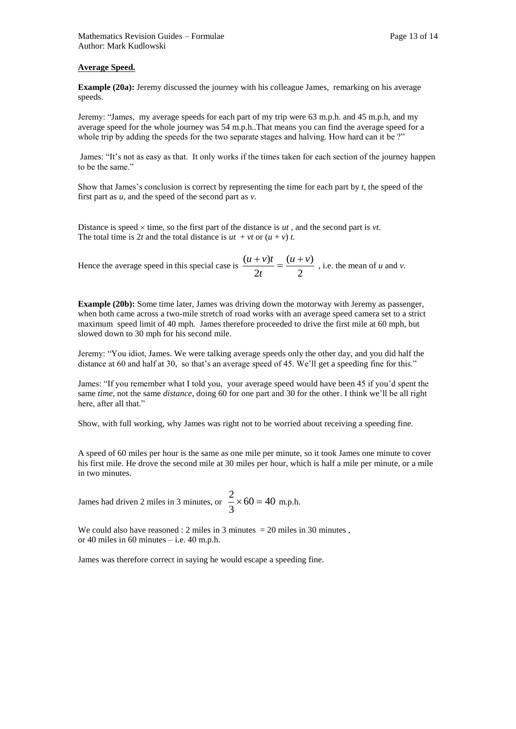#### **Average Speed.**

**Example (20a):** Jeremy discussed the journey with his colleague James, remarking on his average speeds.

Jeremy: "James, my average speeds for each part of my trip were 63 m.p.h. and 45 m.p.h, and my average speed for the whole journey was 54 m.p.h..That means you can find the average speed for a whole trip by adding the speeds for the two separate stages and halving. How hard can it be ?"

James: "It's not as easy as that. It only works if the times taken for each section of the journey happen to be the same."

Show that James's conclusion is correct by representing the time for each part by *t*, the speed of the first part as *u*, and the speed of the second part as *v.*

Distance is speed  $\times$  time, so the first part of the distance is *ut*, and the second part is *vt*. The total time is 2*t* and the total distance is  $ut + vt$  or  $(u + v) t$ .

Hence the average speed in this special case is  $\frac{(x+1)^2}{2t} = \frac{(x+1)^2}{2}$  $(u + v)$ 2  $(u + v)t$   $(u + v)$ *t*  $\frac{u + v}{u} = \frac{(u + v)}{2}$ , i.e. the mean of *u* and *v*.

**Example (20b):** Some time later, James was driving down the motorway with Jeremy as passenger, when both came across a two-mile stretch of road works with an average speed camera set to a strict maximum speed limit of 40 mph. James therefore proceeded to drive the first mile at 60 mph, but slowed down to 30 mph for his second mile.

Jeremy: "You idiot, James. We were talking average speeds only the other day, and you did half the distance at 60 and half at 30, so that's an average speed of 45. We'll get a speeding fine for this."

James: "If you remember what I told you, your average speed would have been 45 if you'd spent the same *time*, not the same *distance*, doing 60 for one part and 30 for the other. I think we'll be all right here, after all that."

Show, with full working, why James was right not to be worried about receiving a speeding fine.

A speed of 60 miles per hour is the same as one mile per minute, so it took James one minute to cover his first mile. He drove the second mile at 30 miles per hour, which is half a mile per minute, or a mile in two minutes.

James had driven 2 miles in 3 minutes, or  $\frac{2}{3} \times 60 = 40$ 3  $\frac{2}{2} \times 60 = 40$  m.p.h.

We could also have reasoned : 2 miles in 3 minutes  $= 20$  miles in 30 minutes, or 40 miles in 60 minutes – i.e. 40 m.p.h.

James was therefore correct in saying he would escape a speeding fine.